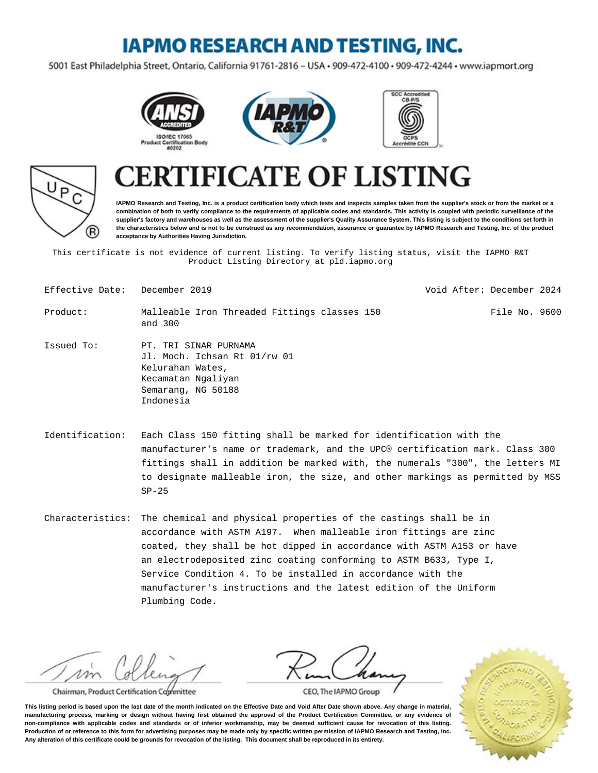### **IAPMO RESEARCH AND TESTING, INC.**

5001 East Philadelphia Street, Ontario, California 91761-2816 - USA · 909-472-4100 · 909-472-4244 · www.iapmort.org







# P R)

## **CATE OF LISTING**

**IAPMO Research and Testing, Inc. is a product certification body which tests and inspects samples taken from the supplier's stock or from the market or a combination of both to verify compliance to the requirements of applicable codes and standards. This activity is coupled with periodic surveillance of the supplier's factory and warehouses as well as the assessment of the supplier's Quality Assurance System. This listing is subject to the conditions set forth in the characteristics below and is not to be construed as any recommendation, assurance or guarantee by IAPMO Research and Testing, Inc. of the product acceptance by Authorities Having Jurisdiction.**

This certificate is not evidence of current listing. To verify listing status, visit the IAPMO R&T Product Listing Directory at pld.iapmo.org

| Effective Date: December 2019 |                                                                                                                                    |  | Void After: December 2024 |  |
|-------------------------------|------------------------------------------------------------------------------------------------------------------------------------|--|---------------------------|--|
| Product:                      | Malleable Iron Threaded Fittings classes 150<br>and 300                                                                            |  | File No. 9600             |  |
| Issued To:                    | PT. TRI SINAR PURNAMA<br>Jl. Moch. Ichsan Rt 01/rw 01<br>Kelurahan Wates,<br>Kecamatan Ngaliyan<br>Semarang, NG 50188<br>Indonesia |  |                           |  |
| Identification:               | Each Class 150 fitting shall be marked for identification with the                                                                 |  |                           |  |

manufacturer's name or trademark, and the UPC® certification mark. Class 300 fittings shall in addition be marked with, the numerals "300", the letters MI to designate malleable iron, the size, and other markings as permitted by MSS SP-25

Characteristics: The chemical and physical properties of the castings shall be in accordance with ASTM A197. When malleable iron fittings are zinc coated, they shall be hot dipped in accordance with ASTM A153 or have an electrodeposited zinc coating conforming to ASTM B633, Type I, Service Condition 4. To be installed in accordance with the manufacturer's instructions and the latest edition of the Uniform Plumbing Code.

m

Chairman, Product Certification Committee





CEO, The IAPMO Group

**This listing period is based upon the last date of the month indicated on the Effective Date and Void After Date shown above. Any change in material, manufacturing process, marking or design without having first obtained the approval of the Product Certification Committee, or any evidence of non-compliance with applicable codes and standards or of inferior workmanship, may be deemed sufficient cause for revocation of this listing. Production of or reference to this form for advertising purposes may be made only by specific written permission of IAPMO Research and Testing, Inc. Any alteration of this certificate could be grounds for revocation of the listing. This document shall be reproduced in its entirety.**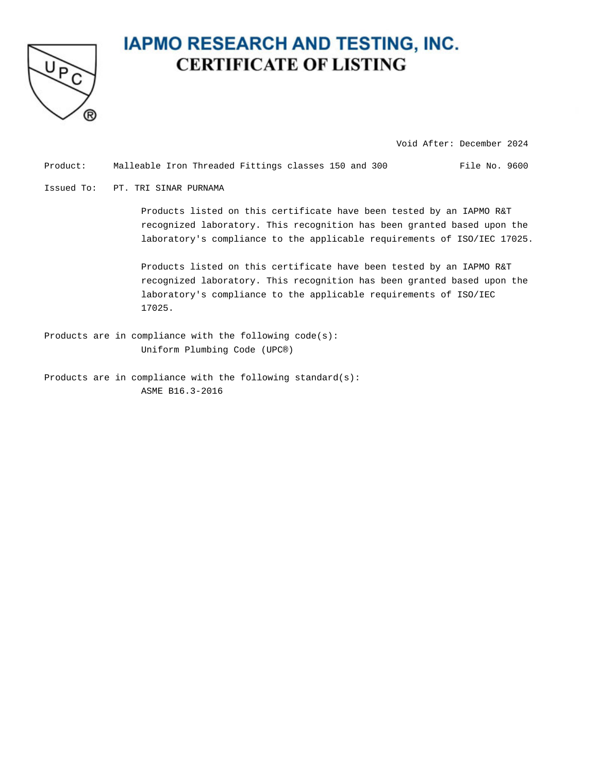

Void After: December 2024

| Product: |  | Malleable Iron Threaded Fittings classes 150 and 300 | File No. 9600 |  |
|----------|--|------------------------------------------------------|---------------|--|
|          |  |                                                      |               |  |

Issued To: PT. TRI SINAR PURNAMA

Products listed on this certificate have been tested by an IAPMO R&T recognized laboratory. This recognition has been granted based upon the laboratory's compliance to the applicable requirements of ISO/IEC 17025.

Products listed on this certificate have been tested by an IAPMO R&T recognized laboratory. This recognition has been granted based upon the laboratory's compliance to the applicable requirements of ISO/IEC 17025.

Products are in compliance with the following code(s): Uniform Plumbing Code (UPC®)

Products are in compliance with the following standard(s): ASME B16.3-2016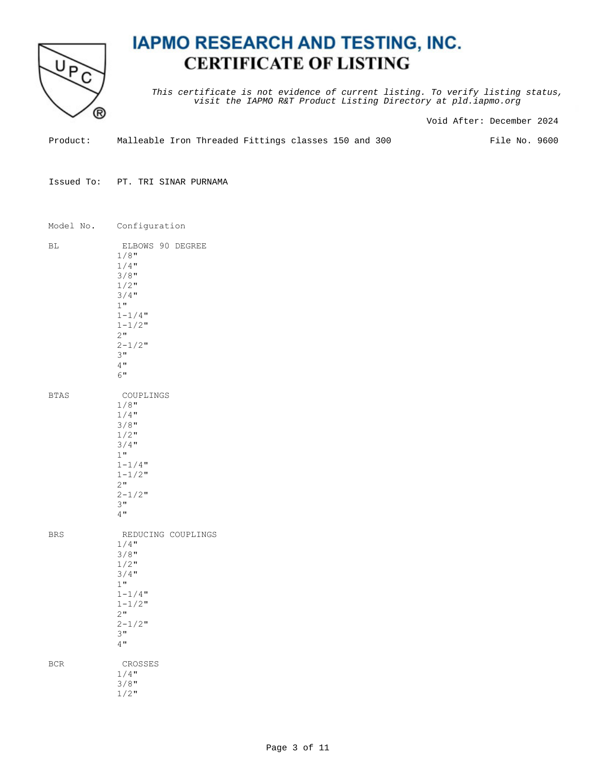

This certificate is not evidence of current listing. To verify listing status, visit the IAPMO R&T Product Listing Directory at pld.iapmo.org

Void After: December 2024

| Product: | Malleable Iron Threaded Fittings classes 150 and 300 |  |  |  |  |  |  |  |
|----------|------------------------------------------------------|--|--|--|--|--|--|--|
|----------|------------------------------------------------------|--|--|--|--|--|--|--|

File No. 9600

Issued To: PT. TRI SINAR PURNAMA

| Model No.   | Configuration                                                                                                                                      |
|-------------|----------------------------------------------------------------------------------------------------------------------------------------------------|
| BL          | ELBOWS 90 DEGREE<br>$1/8$ "<br>$1/4$ "<br>$3/8$ "<br>$1/2$ "<br>$3/4$ "<br>1"<br>$1 - 1/4$ "<br>$1 - 1/2$ "<br>2"<br>$2 - 1/2$ "<br>3"<br>4"<br>6" |
| <b>BTAS</b> | COUPLINGS<br>$1/8$ "<br>$1/4$ "<br>$3/8$ "<br>$1/2$ "<br>$3/4$ "<br>$1$ "<br>$1 - 1/4$ "                                                           |

 $1 - 1/2$ " 2"  $2 - 1/2$ " 3" 4"

REDUCING COUPLINGS

|     | $1/4$ "     |
|-----|-------------|
|     | $3/8$ "     |
|     | $1/2$ "     |
|     | $3/4$ "     |
|     | 1"          |
|     | $1 - 1/4$ " |
|     | $1 - 1/2$ " |
|     | 2"          |
|     | $2 - 1/2$ " |
|     | 3"          |
|     | 4"          |
|     |             |
| BCR | CROSSES     |
|     | $1/4$ "     |
|     | $3/8$ "     |
|     | $1/2$ "     |
|     |             |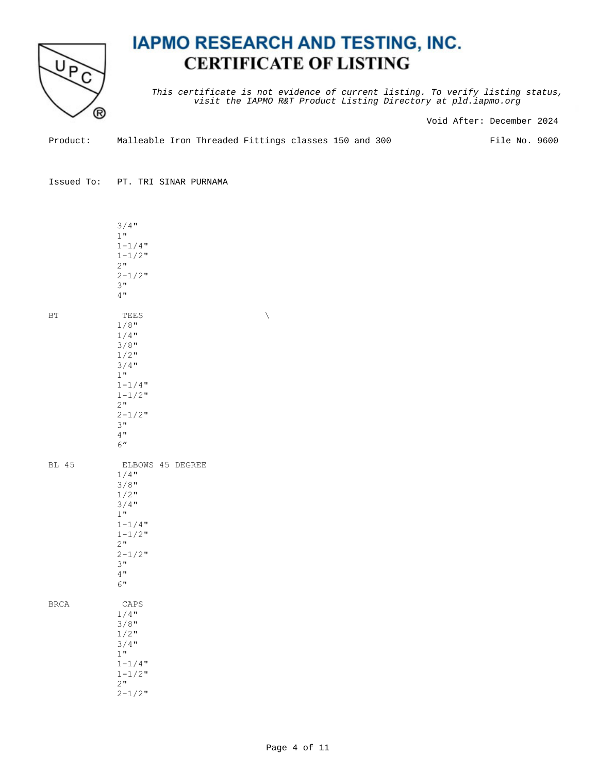

This certificate is not evidence of current listing. To verify listing status, visit the IAPMO R&T Product Listing Directory at pld.iapmo.org

Void After: December 2024

| Product: | Malleable Iron Threaded Fittings classes 150 and 300 |  |  |  |  |  |  |  |  |
|----------|------------------------------------------------------|--|--|--|--|--|--|--|--|
|----------|------------------------------------------------------|--|--|--|--|--|--|--|--|

File No. 9600

Issued To: PT. TRI SINAR PURNAMA

|             | $3/4$ "<br>1"<br>$1 - 1/4$ "<br>$1 - 1/2$ "<br>2 <sup>11</sup><br>$2 - 1/2$ "<br>3"<br>4"                                                    |                     |
|-------------|----------------------------------------------------------------------------------------------------------------------------------------------|---------------------|
| <b>BT</b>   | TEES<br>$1/8$ "<br>$1/4$ "<br>$3/8$ "<br>$1/2$ "<br>$3/4$ "<br>1"<br>$1 - 1/4$ "<br>$1 - 1/2$ "<br>2"<br>$2 - 1/2$ "<br>3"<br>4"<br>6''      | $\bar{\mathcal{A}}$ |
| BL 45       | ELBOWS 45 DEGREE<br>$1/4$ "<br>$3/8$ "<br>$1/2$ "<br>$3/4$ "<br>1"<br>$1 - 1/4$ "<br>$1 - 1 / 2$ "<br>$2$ "<br>$2 - 1/2$ "<br>3"<br>4"<br>6" |                     |
| <b>BRCA</b> | CAPS<br>$1/4$ "<br>$3/8$ "<br>$1/2$ "<br>$3/4$ "<br>$1$ "<br>$1 - 1/4$ "<br>$1 - 1 / 2$ "<br>2"<br>$2 - 1/2$ "                               |                     |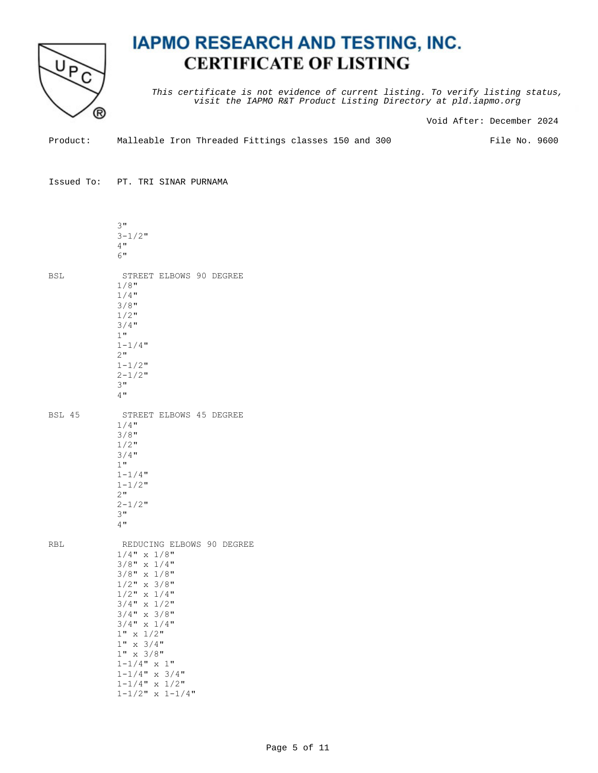

This certificate is not evidence of current listing. To verify listing status, visit the IAPMO R&T Product Listing Directory at pld.iapmo.org

Void After: December 2024

| Product: | Malleable Iron Threaded Fittings classes 150 and 300 |  |  |  |  |  |  |  |  |
|----------|------------------------------------------------------|--|--|--|--|--|--|--|--|
|----------|------------------------------------------------------|--|--|--|--|--|--|--|--|

File No. 9600

Issued To: PT. TRI SINAR PURNAMA

 3" 3-1/2" 4"

6"

- BSL STREET ELBOWS 90 DEGREE 1/8" 1/4" 3/8"  $1/2$ " 3/4" 1" 1-1/4" 2" 1-1/2"
	- $2 1/2$ " 3" 4"

 1/4" 3/8" 1/2" 3/4" 1"  $1 - 1/4$ "

 2-1/2" 3" 4"

- 
- BSL 45 STREET ELBOWS 45 DEGREE
	-
	- -
		- - $1 1/2$ " 2"
		-
- RBL REDUCING ELBOWS 90 DEGREE
	- 1/4" x 1/8" 3/8" x 1/4" 3/8" x 1/8" 1/2" x 3/8" 1/2" x 1/4" 3/4" x 1/2" 3/4" x 3/8" 3/4" x 1/4" 1" x 1/2" 1" x 3/4"  $1" x 3/8"$  $1-1/4$ " x  $1$ "  $1-1/4$ " x  $3/4$ " 1-1/4" x 1/2"
		- $1-1/2$ " x  $1-1/4$ "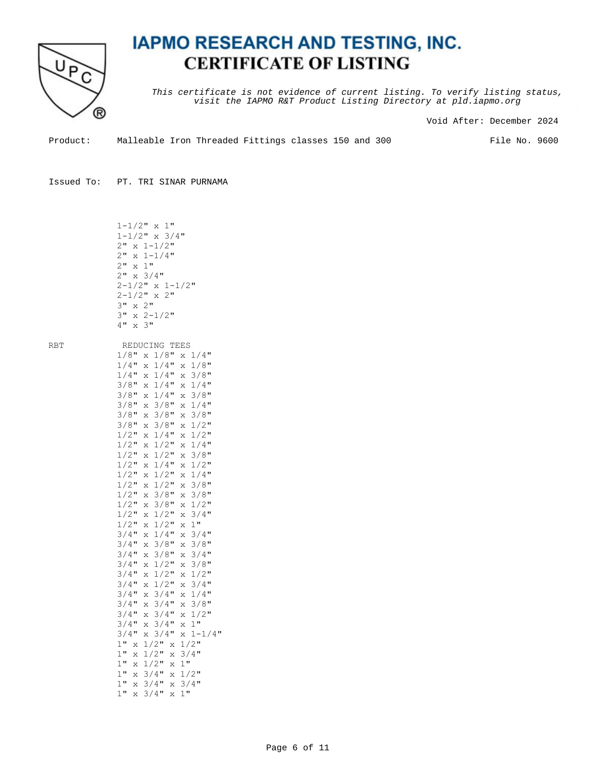

This certificate is not evidence of current listing. To verify listing status, visit the IAPMO R&T Product Listing Directory at pld.iapmo.org

Void After: December 2024

Product: Malleable Iron Threaded Fittings classes 150 and 300

File No. 9600

Issued To: PT. TRI SINAR PURNAMA

| REDUCING<br>TEES<br>$1/8$ "<br>$1/8$ "<br>1/4"<br>$\bar{x}$<br>X<br>$1/4$ "<br>$1/4$ "<br>$1/8$ "<br>X<br>X<br>$1/4$ "<br>$1/4$ "<br>$3/8$ "<br>$\bar{x}$<br>X<br>$1/4$ "<br>$3/8$ "<br>$1/4$ "<br>X<br>X<br>$3/8$ "<br>$3/8$ "<br>$1/4$ "<br>X<br>X<br>$1/4$ "<br>$3/8$ "<br>$3/8$ "<br>X<br>X<br>$3/8$ "<br>$3/8$ "<br>$3/8$ "<br>$\bar{x}$<br>X<br>$3/8$ "<br>$1/2$ "<br>$3/8$ "<br>X<br>X<br>$1/2$ "<br>$1/4$ "<br>$1/2$ "<br>$\bar{x}$<br>$\bar{x}$<br>$1/2$ "<br>$1/2$ "<br>$1/4$ "<br>X<br>X<br>$1/2$ "<br>$1/2$ "<br>$3/8$ "<br>X<br>X<br>$1/2$ "<br>$1/4$ "<br>$1/2$ "<br>X<br>X<br>$1/2$ "<br>$1/2$ "<br>$1/4$ "<br>X<br>X<br>$3/8$ "<br>$1/2$ "<br>$1/2$ "<br>X<br>X<br>$1/2$ "<br>$3/8$ "<br>$3/8$ "<br>X<br>X<br>$1/2$ "<br>$1/2$ "<br>$3/8$ "<br>X<br>X<br>$1/2$ "<br>$1/2$ "<br>$3/4$ "<br>X<br>X<br>$1/2$ "<br>$1/2$ "<br>1"<br>X<br>X<br>$3/4$ "<br>$1/4$ "<br>$3/4$ "<br>X<br>X<br>$3/8$ "<br>$3/4$ "<br>$3/8$ "<br>X<br>X<br>$3/8$ "<br>$3/4$ "<br>$3/4$ "<br>X<br>X<br>$3/4$ "<br>$1/2$ "<br>$3/8$ "<br>X<br>X<br>$1/2$ "<br>$1/2$ "<br>$3/4$ "<br>X<br>X<br>$3/4$ "<br>$1/2$ "<br>$3/4$ "<br>X<br>X<br>$1/4$ "<br>$3/4$ "<br>$3/4$ "<br>X<br>X<br>$3/4$ "<br>$3/4$ "<br>$3/8$ "<br>X<br>X<br>$3/4$ "<br>$3/4$ "<br>$1/2$ "<br>X<br>X<br>$1$ "<br>$3/4$ "<br>$3/4$ "<br>X<br>X<br>$3/4$ "<br>$3/4$ "<br>$1 - 1/4$ "<br>X<br>X<br>$1/2$ "<br>$1/2$ "<br>1"<br>X<br>X<br>$3/4$ "<br>$1$ "<br>$1/2$ "<br>X<br>X<br>$1/2$ "<br>1"<br>$1$ "<br>X<br>X<br>$1$ "<br>$3/4$ "<br>$1/2$ "<br>X<br>X<br>$1$ "<br>$3/4$ "<br>$3/4$ "<br>X<br>X |            | $1 - 1/2$ "<br>1"<br>X<br>$1 - 1/2$ "<br>$3/4$ "<br>$\bar{x}$<br>2"<br>$1 - 1/2$ "<br>X<br>$2$ "<br>$1 - 1/4$ "<br>X<br>$1$ "<br>$2$ "<br>X<br>$3/4$ "<br>$2$ "<br>$\mathbf{x}$<br>$2 - 1/2$ " x<br>$1 - 1/2$ "<br>2"<br>$2 - 1/2$ "<br>$\bar{x}$<br>$2$ "<br>3"<br>$\bar{x}$<br>3"<br>$2 - 1/2$ "<br>X<br>4"<br>3"<br>$\bar{x}$ |
|--------------------------------------------------------------------------------------------------------------------------------------------------------------------------------------------------------------------------------------------------------------------------------------------------------------------------------------------------------------------------------------------------------------------------------------------------------------------------------------------------------------------------------------------------------------------------------------------------------------------------------------------------------------------------------------------------------------------------------------------------------------------------------------------------------------------------------------------------------------------------------------------------------------------------------------------------------------------------------------------------------------------------------------------------------------------------------------------------------------------------------------------------------------------------------------------------------------------------------------------------------------------------------------------------------------------------------------------------------------------------------------------------------------------------------------------------------------------------------------------------------------------------------------------------------|------------|----------------------------------------------------------------------------------------------------------------------------------------------------------------------------------------------------------------------------------------------------------------------------------------------------------------------------------|
|                                                                                                                                                                                                                                                                                                                                                                                                                                                                                                                                                                                                                                                                                                                                                                                                                                                                                                                                                                                                                                                                                                                                                                                                                                                                                                                                                                                                                                                                                                                                                        | <b>RBT</b> | $1$ "<br>$1$ "<br>$3/4$ "<br>X<br>X                                                                                                                                                                                                                                                                                              |

Page 6 of 11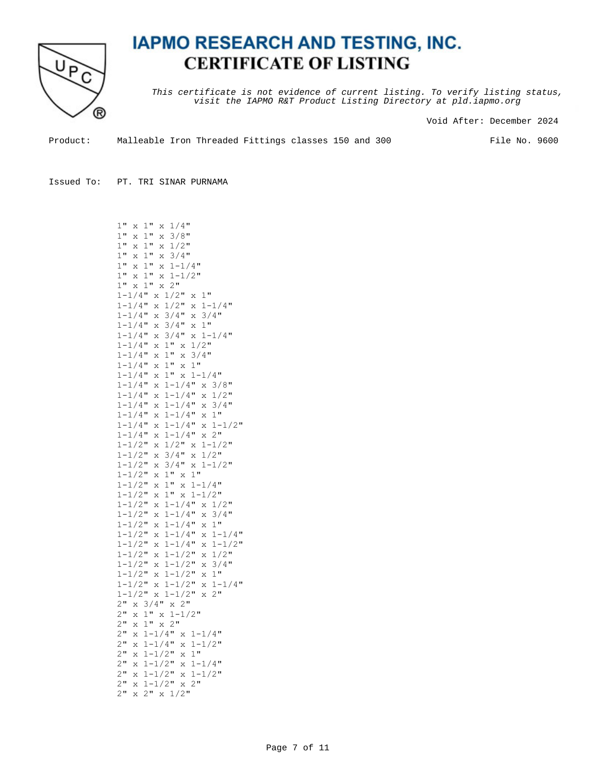

This certificate is not evidence of current listing. To verify listing status, visit the IAPMO R&T Product Listing Directory at pld.iapmo.org

Void After: December 2024

Product: Malleable Iron Threaded Fittings classes 150 and 300

File No. 9600

Issued To: PT. TRI SINAR PURNAMA

 1" x 1" x 1/4" 1" x 1" x 3/8" 1" x 1" x 1/2" 1" x 1" x 3/4" 1" x 1" x 1-1/4" 1" x 1" x 1-1/2"  $1$  "  $\times$   $1$  "  $\times$   $2$  "  $1-1/4$ " x  $1/2$ " x  $1$ "  $1-1/4$ " x  $1/2$ " x  $1-1/4$ " 1-1/4" x 3/4" x 3/4"  $1-1/4$ " x  $3/4$ " x  $1$ " 1-1/4" x 3/4" x 1-1/4"  $1-1/4$ " x 1" x  $1/2$ "  $1-1/4$ " x 1" x 3/4"  $1-1/4$ " x  $1$ " x  $1$ "  $1-1/4$ " x  $1$ " x  $1-1/4$ " 1-1/4" x 1-1/4" x 3/8" 1-1/4" x 1-1/4" x 1/2"  $1-1/4$ " x  $1-1/4$ " x  $3/4$ "  $1-1/4$ " x  $1-1/4$ " x  $1$ " 1-1/4" x 1-1/4" x 1-1/2"  $1-1/4$ " x  $1-1/4$ " x 2" 1-1/2" x 1/2" x 1-1/2" 1-1/2" x 3/4" x 1/2" 1-1/2" x 3/4" x 1-1/2"  $1-1/2$ " x  $1$ " x  $1$ "  $1-1/2$ " x  $1$ " x  $1-1/4$ "  $1-1/2$ " x  $1$ " x  $1-1/2$ "  $1-1/2$ " x  $1-1/4$ " x  $1/2$ "  $1-1/2$ " x  $1-1/4$ " x  $3/4$ "  $1-1/2$ " x  $1-1/4$ " x  $1$ "  $1-1/2$ " x  $1-1/4$ " x  $1-1/4$ "  $1-1/2$ " x  $1-1/4$ " x  $1-1/2$ "  $1-1/2$ " x  $1-1/2$ " x  $1/2$ "  $1-1/2$ " x  $1-1/2$ " x  $3/4$ "  $1-1/2$ " x  $1-1/2$ " x  $1$ " 1-1/2" x 1-1/2" x 1-1/4" 1-1/2" x 1-1/2" x 2" 2" x 3/4" x 2" 2" x 1" x 1-1/2" 2" x 1" x 2" 2" x 1-1/4" x 1-1/4" 2" x 1-1/4" x 1-1/2"  $2" \times 1-1/2" \times 1"$  2" x 1-1/2" x 1-1/4" 2" x 1-1/2" x 1-1/2" 2" x 1-1/2" x 2" 2" x 2" x 1/2"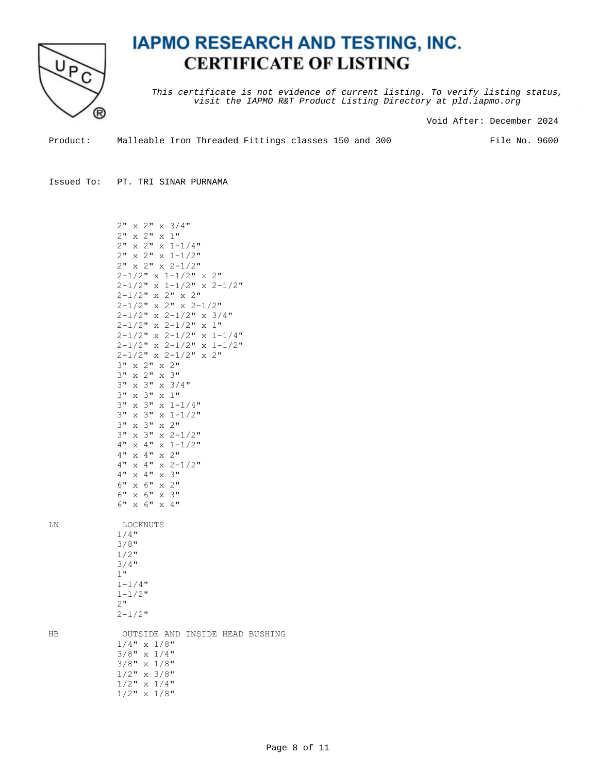

This certificate is not evidence of current listing. To verify listing status, visit the IAPMO R&T Product Listing Directory at pld.iapmo.org

Void After: December 2024

Product: Malleable Iron Threaded Fittings classes 150 and 300

File No. 9600

Issued To: PT. TRI SINAR PURNAMA

 2" x 2" x 3/4" 2" x 2" x 1" 2" x 2" x 1-1/4" 2" x 2" x 1-1/2" 2" x 2" x 2-1/2"  $2-1/2$ " x  $1-1/2$ " x 2" 2-1/2" x 1-1/2" x 2-1/2"  $2-1/2$ " x  $2$ " x  $2$ " 2-1/2" x 2" x 2-1/2" 2-1/2" x 2-1/2" x 3/4" 2-1/2" x 2-1/2" x 1" 2-1/2" x 2-1/2" x 1-1/4"  $2-1/2$ " x  $2-1/2$ " x  $1-1/2$ "  $2-1/2$ " x  $2-1/2$ " x 2" 3" x 2" x 2" 3" x 2" x 3" 3" x 3" x 3/4" 3" x 3" x 1" 3" x 3" x 1-1/4" 3" x 3" x 1-1/2" 3" x 3" x 2" 3" x 3" x 2-1/2" 4" x 4" x 1-1/2" 4" x 4" x 2" 4" x 4" x 2-1/2" 4" x 4" x 3" 6" x 6" x 2" 6" x 6" x 3" 6" x 6" x 4" LN LOCKNUTS 1/4" 3/8"  $1/2"$  3/4" 1" 1-1/4"  $1 - 1/2$ " 2"  $2 - 1/2$ " HB OUTSIDE AND INSIDE HEAD BUSHING 1/4" x 1/8" 3/8" x 1/4" 3/8" x 1/8"  $1/2$ " x  $3/8$ " 1/2" x 1/4" 1/2" x 1/8"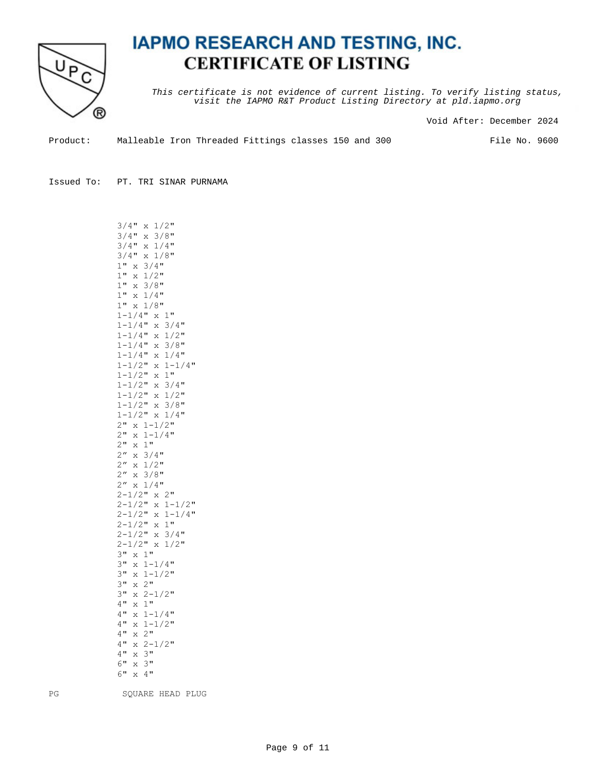

This certificate is not evidence of current listing. To verify listing status, visit the IAPMO R&T Product Listing Directory at pld.iapmo.org

Void After: December 2024

Product: Malleable Iron Threaded Fittings classes 150 and 300

File No. 9600

Issued To: PT. TRI SINAR PURNAMA

 3/4" x 1/2" 3/4" x 3/8" 3/4" x 1/4" 3/4" x 1/8" 1" x 3/4" 1" x 1/2" 1" x 3/8" 1" x 1/4" 1" x 1/8" 1-1/4" x 1"  $1-1/4$ " x  $3/4$ " 1-1/4" x 1/2"  $1-1/4$ " x  $3/8$ "  $1-1/4$ " x  $1/4$ "  $1-1/2$ " x  $1-1/4$ "  $1 - 1/2$ " x 1"  $1 - 1/2$ " x  $3/4$ " 1-1/2" x 1/2" 1-1/2" x 3/8"  $1-1/2$ " x  $1/4$ " 2" x 1-1/2" 2" x 1-1/4"  $2$ " x  $1$ " 2" x 3/4" 2" x 1/2" 2" x 3/8"  $2'' \times 1/4$ " 2-1/2" x 2" 2-1/2" x 1-1/2"  $2-1/2$ " x  $1-1/4$ "  $2-1/2$ " x 1"  $2 - 1/2$ " x  $3/4$ " 2-1/2" x 1/2" 3" x 1" 3" x 1-1/4" 3" x 1-1/2" 3" x 2" 3" x 2-1/2"  $4$  "  $\,$  x  $\,$   $1$  " 4" x 1-1/4" 4" x 1-1/2" 4" x 2" 4" x 2-1/2" 4" x 3" 6" x 3" 6" x 4" PG SQUARE HEAD PLUG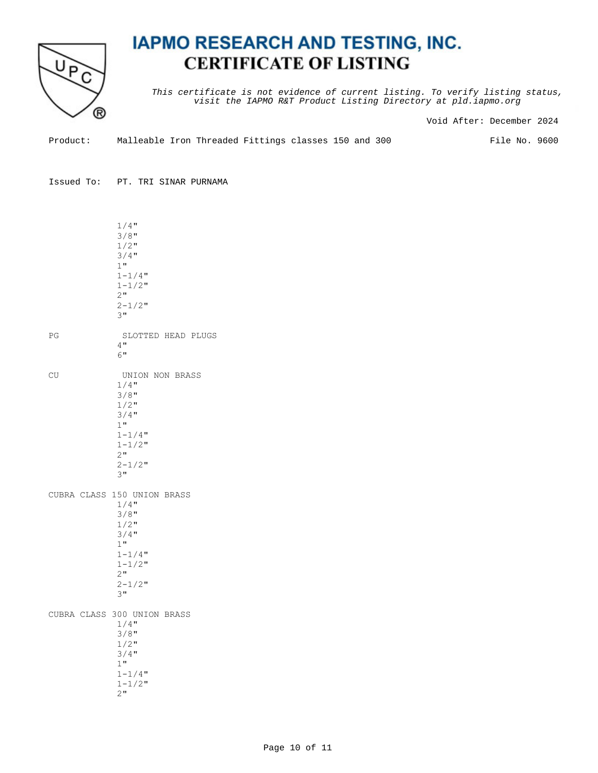

This certificate is not evidence of current listing. To verify listing status, visit the IAPMO R&T Product Listing Directory at pld.iapmo.org

Void After: December 2024

| Product: | Malleable Iron Threaded Fittings classes 150 and 300 |  |  |  |  |  |  |  |  |
|----------|------------------------------------------------------|--|--|--|--|--|--|--|--|
|----------|------------------------------------------------------|--|--|--|--|--|--|--|--|

File No. 9600

Issued To: PT. TRI SINAR PURNAMA

|           |             | $1/4$ "<br>$3/8$ "<br>$1/2$ "<br>$3/4$ "<br>$1$ "<br>$1 - 1/4$ "<br>$1 - 1/2$ "<br>2"<br>$2 - 1/2$ "<br>3"                                  |
|-----------|-------------|---------------------------------------------------------------------------------------------------------------------------------------------|
| PG        |             | SLOTTED HEAD PLUGS<br>4"<br>6"                                                                                                              |
| <b>CU</b> |             | UNION NON BRASS<br>$1/4$ "<br>$3/8$ "<br>$1/2$ "<br>$3/4$ "<br>$1$ "<br>$1 - 1/4$ "<br>$1 - 1/2$ "<br>2 <sup>11</sup><br>$2 - 1/2$ "<br>3"  |
|           |             | CUBRA CLASS 150 UNION BRASS<br>$1/4$ "<br>$3/8$ "<br>$1/2$ "<br>$3/4$ "<br>$1$ "<br>$1 - 1/4$ "<br>$1 - 1 / 2$ "<br>2"<br>$2 - 1/2$ "<br>3" |
|           | CUBRA CLASS | 300 UNION BRASS<br>$1/4$ "<br>$3/8$ "<br>$1/2$ "<br>$3/4$ "<br>$1$ "<br>$1 - 1/4$ "<br>$1 - 1/2$ "<br>$2$ "                                 |